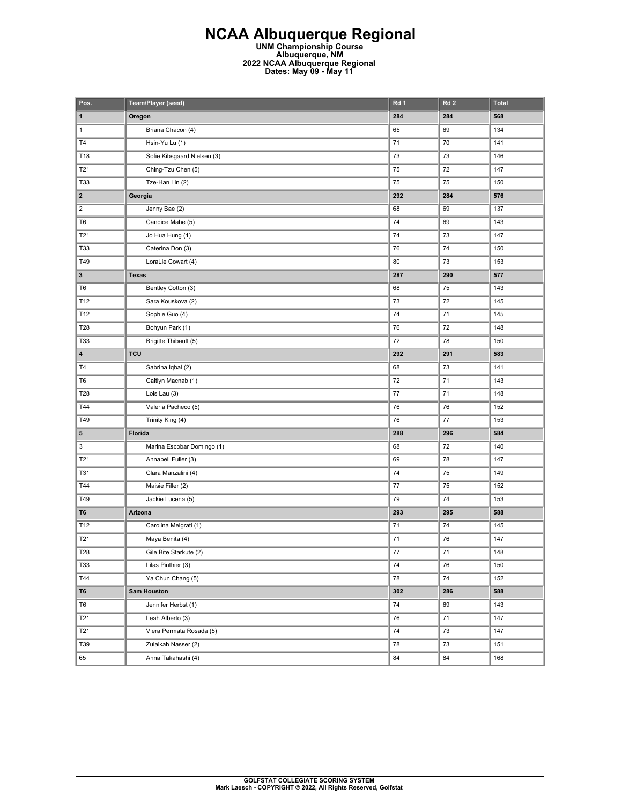## **NCAA Albuquerque Regional UNM Championship Course**

**Albuquerque, NM 2022 NCAA Albuquerque Regional Dates: May 09 - May 11** 

| Pos.                    | Team/Player (seed)          | Rd 1   | Rd <sub>2</sub> | <b>Total</b> |
|-------------------------|-----------------------------|--------|-----------------|--------------|
| 1                       | Oregon                      | 284    | 284             | 568          |
| 1                       | Briana Chacon (4)           | 65     | 69              | 134          |
| T4                      | Hsin-Yu Lu (1)              | 71     | 70              | 141          |
| T18                     | Sofie Kibsgaard Nielsen (3) | 73     | 73              | 146          |
| T21                     | Ching-Tzu Chen (5)          | 75     | 72              | 147          |
| <b>T33</b>              | Tze-Han Lin (2)             | 75     | 75              | 150          |
| $\overline{\mathbf{2}}$ | Georgia                     | 292    | 284             | 576          |
| $\overline{\mathbf{c}}$ | Jenny Bae (2)               | 68     | 69              | 137          |
| T <sub>6</sub>          | Candice Mahe (5)            | 74     | 69              | 143          |
| T21                     | Jo Hua Hung (1)             | 74     | 73              | 147          |
| <b>T33</b>              | Caterina Don (3)            | 76     | 74              | 150          |
| T49                     | LoraLie Cowart (4)          | 80     | 73              | 153          |
| 3                       | <b>Texas</b>                | 287    | 290             | 577          |
| T <sub>6</sub>          | Bentley Cotton (3)          | 68     | 75              | 143          |
| T12                     | Sara Kouskova (2)           | 73     | 72              | 145          |
| T12                     | Sophie Guo (4)              | 74     | 71              | 145          |
| <b>T28</b>              | Bohyun Park (1)             | 76     | 72              | 148          |
| <b>T33</b>              | Brigitte Thibault (5)       | 72     | 78              | 150          |
| 4                       | <b>TCU</b>                  | 292    | 291             | 583          |
| T4                      | Sabrina Iqbal (2)           | 68     | 73              | 141          |
| T <sub>6</sub>          | Caitlyn Macnab (1)          | 72     | 71              | 143          |
| T28                     | Lois Lau (3)                | 77     | 71              | 148          |
| T44                     | Valeria Pacheco (5)         | 76     | 76              | 152          |
| T49                     | Trinity King (4)            | 76     | 77              | 153          |
| 5                       | Florida                     | 288    | 296             | 584          |
| 3                       | Marina Escobar Domingo (1)  | 68     | 72              | 140          |
| T21                     | Annabell Fuller (3)         | 69     | 78              | 147          |
| T31                     | Clara Manzalini (4)         | 74     | 75              | 149          |
| T44                     | Maisie Filler (2)           | 77     | 75              | 152          |
| T49                     | Jackie Lucena (5)           | 79     | 74              | 153          |
| T6                      | Arizona                     | 293    | 295             | 588          |
| T12                     | Carolina Melgrati (1)       | 71     | 74              | 145          |
| T21                     | Maya Benita (4)             | 71     | 76              | 147          |
| T28                     | Gile Bite Starkute (2)      | $77\,$ | 71              | 148          |
| <b>T33</b>              | Lilas Pinthier (3)          | 74     | 76              | 150          |
| T44                     | Ya Chun Chang (5)           | 78     | 74              | 152          |
| T <sub>6</sub>          | <b>Sam Houston</b>          | 302    | 286             | 588          |
| T <sub>6</sub>          | Jennifer Herbst (1)         | 74     | 69              | 143          |
| T21                     | Leah Alberto (3)            | 76     | 71              | 147          |
| T21                     | Viera Permata Rosada (5)    | 74     | 73              | 147          |
| T39                     | Zulaikah Nasser (2)         | 78     | 73              | 151          |
| 65                      | Anna Takahashi (4)          | 84     | 84              | 168          |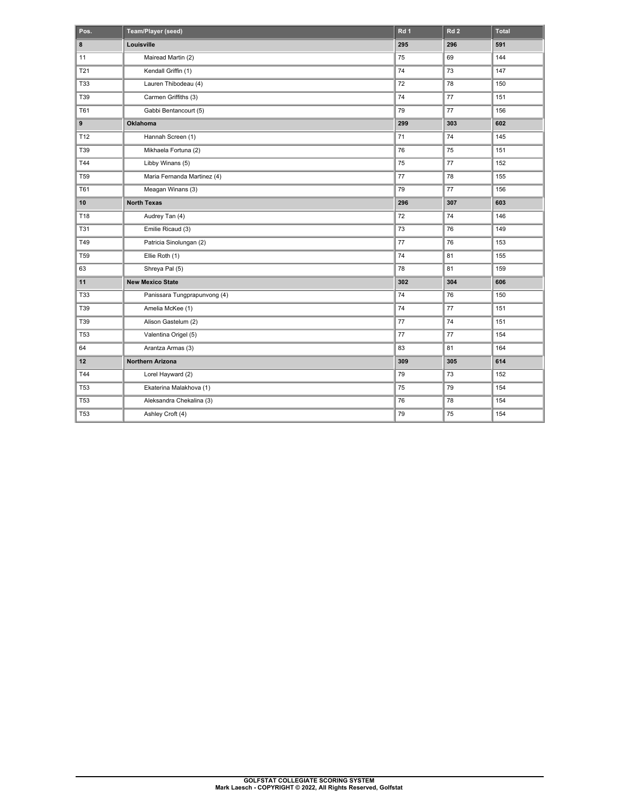| Pos.            | Team/Player (seed)           | Rd 1 | Rd <sub>2</sub> | <b>Total</b> |
|-----------------|------------------------------|------|-----------------|--------------|
| 8               | Louisville                   | 295  | 296             | 591          |
| 11              | Mairead Martin (2)           | 75   | 69              | 144          |
| <b>T21</b>      | Kendall Griffin (1)          | 74   | 73              | 147          |
| <b>T33</b>      | Lauren Thibodeau (4)         | 72   | 78              | 150          |
| T39             | Carmen Griffiths (3)         | 74   | 77              | 151          |
| T61             | Gabbi Bentancourt (5)        | 79   | 77              | 156          |
| 9               | Oklahoma                     | 299  | 303             | 602          |
| T12             | Hannah Screen (1)            | 71   | 74              | 145          |
| T39             | Mikhaela Fortuna (2)         | 76   | 75              | 151          |
| T44             | Libby Winans (5)             | 75   | 77              | 152          |
| T <sub>59</sub> | Maria Fernanda Martinez (4)  | 77   | 78              | 155          |
| T61             | Meagan Winans (3)            | 79   | 77              | 156          |
| 10              | <b>North Texas</b>           | 296  | 307             | 603          |
| T18             | Audrey Tan (4)               | 72   | 74              | 146          |
| <b>T31</b>      | Emilie Ricaud (3)            | 73   | 76              | 149          |
| T49             | Patricia Sinolungan (2)      | 77   | 76              | 153          |
| T <sub>59</sub> | Ellie Roth (1)               | 74   | 81              | 155          |
| 63              | Shreya Pal (5)               | 78   | 81              | 159          |
| 11              | <b>New Mexico State</b>      | 302  | 304             | 606          |
| T33             | Panissara Tungprapunvong (4) | 74   | 76              | 150          |
| T39             | Amelia McKee (1)             | 74   | 77              | 151          |
| T39             | Alison Gastelum (2)          | 77   | 74              | 151          |
| T53             | Valentina Origel (5)         | 77   | 77              | 154          |
| 64              | Arantza Armas (3)            | 83   | 81              | 164          |
| 12              | <b>Northern Arizona</b>      | 309  | 305             | 614          |
| T44             | Lorel Hayward (2)            | 79   | 73              | 152          |
| T53             | Ekaterina Malakhova (1)      | 75   | 79              | 154          |
| T <sub>53</sub> | Aleksandra Chekalina (3)     | 76   | 78              | 154          |
| T <sub>53</sub> | Ashley Croft (4)             | 79   | 75              | 154          |